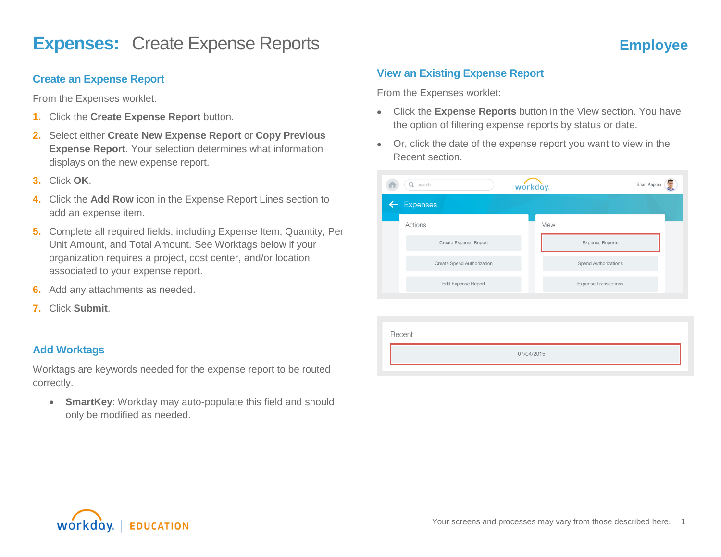## **Create an Expense Report**

From the Expenses worklet:

- **1.** Click the **Create Expense Report** button.
- **2.** Select either **Create New Expense Report** or **Copy Previous Expense Report**. Your selection determines what information displays on the new expense report.
- **3.** Click **OK**.
- **4.** Click the **Add Row** icon in the Expense Report Lines section to add an expense item.
- **5.** Complete all required fields, including Expense Item, Quantity, Per Unit Amount, and Total Amount. See Worktags below if your organization requires a project, cost center, and/or location associated to your expense report.
- **6.** Add any attachments as needed.
- **7.** Click **Submit**.

## **Add Worktags**

Worktags are keywords needed for the expense report to be routed correctly.

 **SmartKey**: Workday may auto-populate this field and should only be modified as needed.

## **View an Existing Expense Report**

From the Expenses worklet:

- Click the **Expense Reports** button in the View section. You have the option of filtering expense reports by status or date.
- Or, click the date of the expense report you want to view in the Recent section.

| search                     | workday.                    | Brian Kaplan |
|----------------------------|-----------------------------|--------------|
| Expenses                   |                             |              |
| Actions                    | View                        |              |
| Create Expense Report      | <b>Expense Reports</b>      |              |
| Create Spend Authorization | <b>Spend Authorizations</b> |              |
| Edit Expense Report        | <b>Expense Transactions</b> |              |
|                            |                             |              |

| Recent     |  |
|------------|--|
| 07/04/2015 |  |
|            |  |